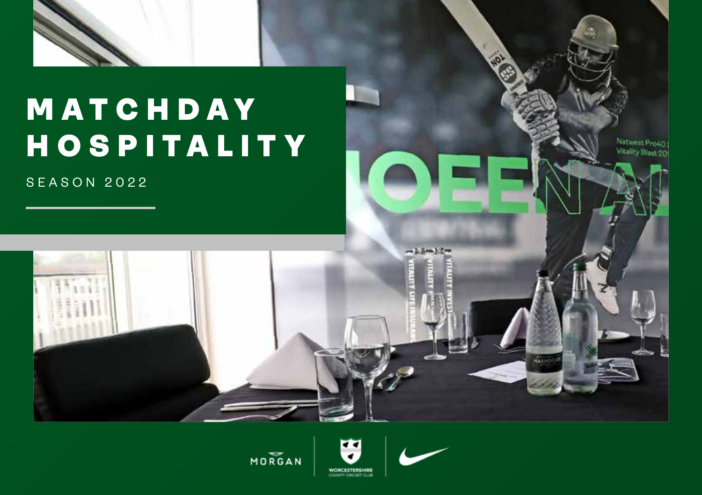

# MATCHDAY HOSPITALITY

SEASON 2022



Natwest Pro40 Vitality Blast 201

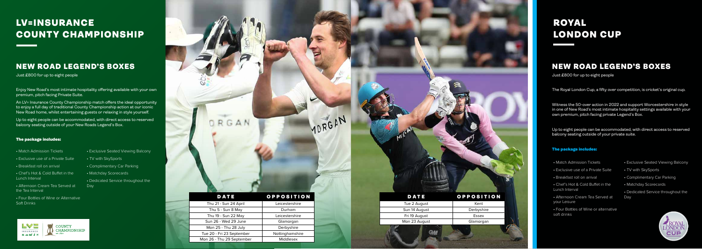

## LV=INSURANCE COUNTY CHAMPIONSHIP

# ROYAL LONDON CUP

### NEW ROAD LEGEND'S BOXES

Just £800 for up to eight people

Enjoy New Road's most intimate hospitality offering available with your own premium, pitch facing Private Suite.

- Exclusive use of a Private Suite
- Breakfast roll on arrival
- Chef's Hot & Cold Buffet in the Lunch Interval
- Afternoon Cream Tea Served at the Tea Interval
- Four Bottles of Wine or Alternative Soft Drinks
- TV with SkySports
- Complimentary Car Parking
- Matchday Scorecards
- Dedicated Service throughout the **Day**

An LV= Insurance County Championship match offers the ideal opportunity  $\parallel$  to enjoy a full day of traditional County Championship action at our iconic  $\parallel$ New Road home, whilst entertaining guests or relaxing in style yourself.

Up to eight people can be accommodated, with direct access to reserved balcony seating outside of your New Roads Legend's Box.

#### The package includes:

#### • Match Admission Tickets

• Exclusive Seated Viewing Balcony

| <b>INSURANCE</b><br>合画学上文 | <b>COUNTY</b><br><b>CHAMPIONSHIP</b><br>est. 1890 |
|---------------------------|---------------------------------------------------|
|---------------------------|---------------------------------------------------|

## NEW ROAD LEGEND'S BOXES

Just £800 for up to eight people

The Royal London Cup, a fifty over competition, is cricket's original cup.

Witness the 50-over action in 2022 and support Worcestershire in style in one of New Road's most intimate hospitality settings available with your own premium, pitch facing private Legend's Box.

Up to eight people can be accommodated, with direct access to reserved balcony seating outside of your private suite.

#### The package includes:

- Match Admission Tickets
- Exclusive use of a Private Suite
- Breakfast roll on arrival
- Chef's Hot & Cold Buffet in the Lunch Interval
- your Leisure
- Four Bottles of Wine or alternative soft drinks



- Exclusive Seated Viewing Balcony
- TV with SkySports
- Complimentary Car Parking
- Matchday Scorecards

• Dedicated Service throughout the



| Tue 2 August  | Kent       |
|---------------|------------|
| Sun 14 August | Derbyshire |
| Fri 19 August | Essex      |
| Mon 23 August | Glamorgan  |
|               |            |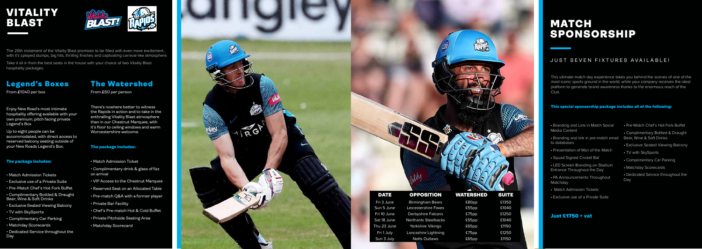# VITALITY BLAST



The 20th instalment of the Vitality Blast promises to be filled with even more excitement, with it's splayed stumps, big hits, thrilling finishes and captivating carnival-like atmosphere.

Take it all in from the best seats in the house with your choice of two Vitality Blast hospitality packages.

## Legend's Boxes

From £1040 per box

Enjoy New Road's most intimate hospitality offering available with your own premium, pitch facing private Legend's Box

Up to eight people can be accommodated, with direct access to reserved balcony seating outside of your New Roads Legend's Box.

#### The package includes:

- Match Admission Tickets
- Exclusive use of a Private Suite
- Pre-Match Chef's Hot Fork Buffet
- Complimentary Bottled & Draught Beer, Wine & Soft Drinks
- Exclusive Seated Viewing Balcony
- TV with SkySports
- Complimentary Car Parking
- Matchday Scorecards
- Dedicated Service throughout the Day

## The Watershed

From £50 per person

There's nowhere better to witness the Rapids in action and to take in the enthralling Vitality Blast atmosphere than in our Chestnut Marquee, with it's floor to ceiling windows and warm Worcestershire welcome.

#### The package includes:

- Match Admission Ticket
- Complimentary drink & glass of fizz on arrival
- VIP Access to the Chestnut Marquee Reserved Seat on an Allocated Table
- 
- Pre-match Q&A with a former player
- Private Bar Facility
- Chef's Pre-match Hot & Cold Buffet
- Private Pitchside Seating Area
- Matchday Scorecard

## MATCH SPONSORSHIP

- Branding and Link in Match Social Media Content
- Branding and link in pre-match email Beer, Wine & Soft Drinks to databases
- Presentation of Man of the Match
- Squad Signed Cricket Bat
- LED Screen Branding on Stadium Entrance Throughout the Day
- PA Announcements Throughout Matchday
- Match Admission Tickets
- Exclusive use of a Private Suite
- Pre-Match Chef's Hot Fork Buffet
- Complimentary Bottled & Draught
- Exclusive Seated Viewing Balcony<br>• TV with SkySports
- 
- Complimentary Car Parking
- Matchday Scorecards
- Dedicated Service throughout the Day

| Birmingham Bears     | £80pp | £1350 |
|----------------------|-------|-------|
| eicestershire Foxes  | £55pp | £1040 |
| erbyshire Falcons    | £75pp | £1250 |
| orthants Steelbacks  | £55pp | £1040 |
| Yorkshire Vikings    | £65pp | £1150 |
| ancashire Lightning  | £75pp | £1250 |
| <b>Notts Outlaws</b> | £65pp | £1150 |

#### JUST SEVEN FIXTURES AVAILABLE!

This ultimate match day experience takes you behind the scenes of one of the most iconic sports ground in the world, while your company receives the ideal platform to generate brand awareness thanks to the enormous reach of the Club

#### This special sponsorship package includes all of the following:



#### Just £1750 + vat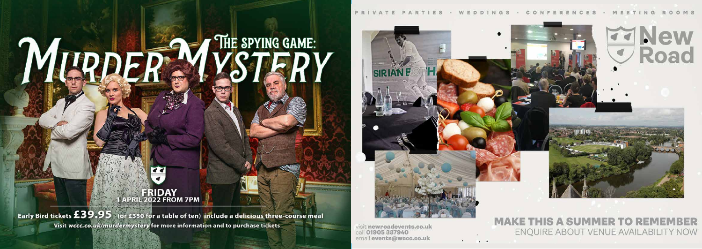# THE SPYING GAME: MURDER. Y

Early Bird tickets £39.95 (or £350 for a table of ten) include a delicious three-course meal Visit wccc.co.uk/murdermystery for more information and to purchase tickets

 $\epsilon$ 

**ERIDAY**<br>APRIL 2022 FROM 7PM

visit newroadevents.co.uk call 01905 337940 email events@wccc.co.uk



## **MAKE THIS A SUMMER TO REMEMBER** ENQUIRE ABOUT VENUE AVAILABILITY NOW